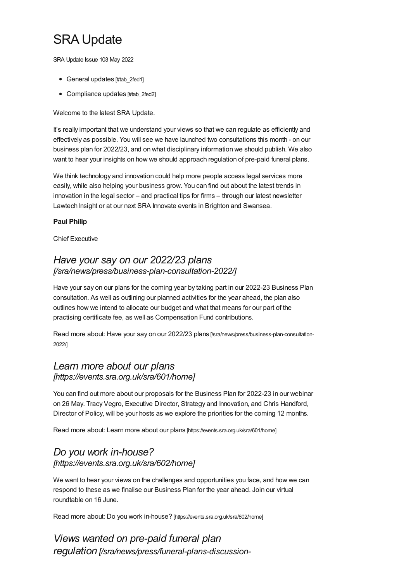# SRA Update

SRA Update Issue 103 May 2022

- General updates [#tab 2fed1]
- [Compliance](#page-3-0) updates [#tab 2fed2]

Welcome to the latest SRA Update.

It's really important that we understand your views so that we can regulate as efficiently and effectively as possible. You will see we have launched two consultations this month - on our business plan for 2022/23, and on what disciplinary information we should publish. We also want to hear your insights on how we should approach regulation of pre-paid funeral plans.

We think technology and innovation could help more people access legal services more easily, while also helping your business grow. You can find out about the latest trends in innovation in the legal sector – and practical tips for firms – through our latest newsletter Lawtech Insight or at our next SRA Innovate events in Brighton and Swansea.

#### **Paul Philip**

Chief Executive

#### *Have your say on our 2022/23 plans [\[/sra/news/press/business-plan-consultation-2022/\]](https://www.sra.org.uk/sra/news/press/business-plan-consultation-2022/)*

Have your say on our plans for the coming year by taking part in our 2022-23 Business Plan consultation. As well as outlining our planned activities for the year ahead, the plan also outlines how we intend to allocate our budget and what that means for our part of the practising certificate fee, as well as Compensation Fund contributions.

Read more about: Have your say on our 2022/23 plans [\[/sra/news/press/business-plan-consultation-](https://www.sra.org.uk/sra/news/press/business-plan-consultation-2022/)2022/]

#### *Learn more about our plans [\[https://events.sra.org.uk/sra/601/home\]](https://events.sra.org.uk/sra/601/home)*

You can find out more about our proposals for the Business Plan for 2022-23 in our webinar on 26 May. Tracy Vegro, Executive Director, Strategy and Innovation, and Chris Handford, Director of Policy, will be your hosts as we explore the priorities for the coming 12 months.

Read more about: Learn more about our plans [\[https://events.sra.org.uk/sra/601/home\]](https://events.sra.org.uk/sra/601/home)

#### *Do you work in-house? [\[https://events.sra.org.uk/sra/602/home\]](https://events.sra.org.uk/sra/602/home)*

We want to hear your views on the challenges and opportunities you face, and how we can respond to these as we finalise our Business Plan for the year ahead. Join our virtual roundtable on 16 June.

Read more about: Do you work in-house? [\[https://events.sra.org.uk/sra/602/home\]](https://events.sra.org.uk/sra/602/home)

*Views wanted on pre-paid funeral plan regulation [\[/sra/news/press/funeral-plans-discussion-](https://www.sra.org.uk/sra/news/press/funeral-plans-discussion-paper/)*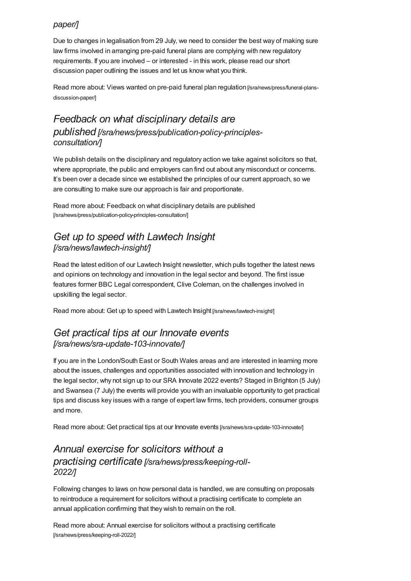#### <span id="page-1-0"></span>*paper/]*

Due to changes in legalisation from 29 July, we need to consider the best way of making sure law firms involved in arranging pre-paid funeral plans are complying with new regulatory requirements. If you are involved – or interested - in this work, please read our short discussion paper outlining the issues and let us know what you think.

Read more about: Views wanted on pre-paid funeral plan regulation [\[/sra/news/press/funeral-plans](https://www.sra.org.uk/sra/news/press/funeral-plans-discussion-paper/)discussion-paper/]

### *Feedback on what disciplinary details are published [\[/sra/news/press/publication-policy-principles](https://www.sra.org.uk/sra/news/press/publication-policy-principles-consultation/)consultation/]*

We publish details on the disciplinary and regulatory action we take against solicitors so that, where appropriate, the public and employers can find out about any misconduct or concerns. It's been over a decade since we established the principles of our current approach, so we are consulting to make sure our approach is fair and proportionate.

Read more about: Feedback on what disciplinary details are published [\[/sra/news/press/publication-policy-principles-consultation/\]](https://www.sra.org.uk/sra/news/press/publication-policy-principles-consultation/)

#### *Get up to speed with Lawtech Insight [\[/sra/news/lawtech-insight/\]](https://www.sra.org.uk/sra/news/lawtech-insight/)*

Read the latest edition of our Lawtech Insight newsletter, which pulls together the latest news and opinions on technology and innovation in the legal sector and beyond. The first issue features former BBC Legal correspondent, Clive Coleman, on the challenges involved in upskilling the legal sector.

Read more about: Get up to speed with Lawtech Insight [\[/sra/news/lawtech-insight/\]](https://www.sra.org.uk/sra/news/lawtech-insight/)

#### *Get practical tips at our Innovate events [\[/sra/news/sra-update-103-innovate/\]](https://www.sra.org.uk/sra/news/sra-update-103-innovate/)*

If you are in the London/South East or South Wales areas and are interested in learning more about the issues, challenges and opportunities associated with innovation and technology in the legal sector, why not sign up to our SRA Innovate 2022 events? Staged in Brighton (5 July) and Swansea (7 July) the events will provide you with an invaluable opportunity to get practical tips and discuss key issues with a range of expert law firms, tech providers, consumer groups and more.

Read more about: Get practical tips at our Innovate events [\[/sra/news/sra-update-103-innovate/\]](https://www.sra.org.uk/sra/news/sra-update-103-innovate/)

# *Annual exercise for solicitors without a practising certificate [\[/sra/news/press/keeping-roll-](https://www.sra.org.uk/sra/news/press/keeping-roll-2022/)2022/]*

Following changes to laws on how personal data is handled, we are consulting on proposals to reintroduce a requirement for solicitors without a practising certificate to complete an annual application confirming that they wish to remain on the roll.

Read more about: Annual exercise for solicitors without a practising certificate [\[/sra/news/press/keeping-roll-2022/\]](https://www.sra.org.uk/sra/news/press/keeping-roll-2022/)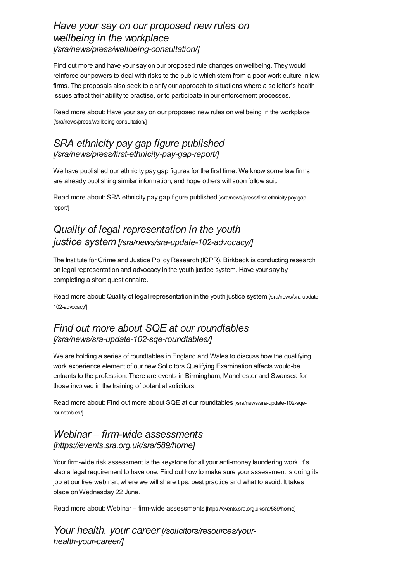#### *Have your say on our proposed new rules on wellbeing in the workplace [\[/sra/news/press/wellbeing-consultation/\]](https://www.sra.org.uk/sra/news/press/wellbeing-consultation/)*

Find out more and have your say on our proposed rule changes on wellbeing. They would reinforce our powers to deal with risks to the public which stem from a poor work culture in law firms. The proposals also seek to clarify our approach to situations where a solicitor's health issues affect their ability to practise, or to participate in our enforcement processes.

Read more about: Have your say on our proposed new rules on wellbeing in the workplace [\[/sra/news/press/wellbeing-consultation/\]](https://www.sra.org.uk/sra/news/press/wellbeing-consultation/)

#### *SRA ethnicity pay gap figure published [\[/sra/news/press/first-ethnicity-pay-gap-report/\]](https://www.sra.org.uk/sra/news/press/first-ethnicity-pay-gap-report/)*

We have published our ethnicity pay gap figures for the first time. We know some law firms are already publishing similar information, and hope others will soon follow suit.

Read more about: SRA ethnicity pay gap figure published [\[/sra/news/press/first-ethnicity-pay-gap](https://www.sra.org.uk/sra/news/press/first-ethnicity-pay-gap-report/)report/]

# *Quality of legal representation in the youth justice system [\[/sra/news/sra-update-102-advocacy/\]](https://www.sra.org.uk/sra/news/sra-update-102-advocacy/)*

The Institute for Crime and Justice Policy Research (ICPR), Birkbeck is conducting research on legal representation and advocacy in the youth justice system. Have your say by completing a short questionnaire.

Read more about: Quality of legal representation in the youth justice system [\[/sra/news/sra-update-](https://www.sra.org.uk/sra/news/sra-update-102-advocacy/)102-advocacy/]

### *Find out more about SQE at our roundtables [\[/sra/news/sra-update-102-sqe-roundtables/\]](https://www.sra.org.uk/sra/news/sra-update-102-sqe-roundtables/)*

We are holding a series of roundtables in England and Wales to discuss how the qualifying work experience element of our new Solicitors Qualifying Examination affects would-be entrants to the profession. There are events in Birmingham, Manchester and Swansea for those involved in the training of potential solicitors.

Read more about: Find out more about SQE at our roundtables [\[/sra/news/sra-update-102-sqe](https://www.sra.org.uk/sra/news/sra-update-102-sqe-roundtables/)roundtables/]

#### *Webinar – firm-wide assessments [\[https://events.sra.org.uk/sra/589/home\]](https://events.sra.org.uk/sra/589/home)*

Your firm-wide risk assessment is the keystone for all your anti-money laundering work. It's also a legal requirement to have one. Find out how to make sure your assessment is doing its job at our free webinar, where we will share tips, best practice and what to avoid. It takes place on Wednesday 22 June.

Read more about: Webinar – firm-wide assessments [\[https://events.sra.org.uk/sra/589/home\]](https://events.sra.org.uk/sra/589/home)

*Your health, your career [\[/solicitors/resources/your](https://www.sra.org.uk/solicitors/resources/your-health-your-career/)health-your-career/]*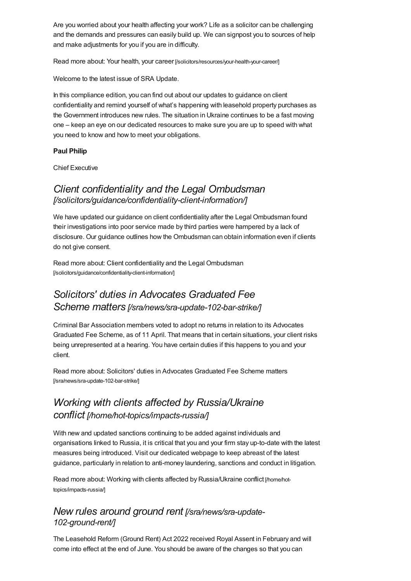Are you worried about your health affecting your work? Life as a solicitor can be challenging and the demands and pressures can easily build up. We can signpost you to sources of help and make adjustments for you if you are in difficulty.

Read more about: Your health, your career [\[/solicitors/resources/your-health-your-career/\]](https://www.sra.org.uk/solicitors/resources/your-health-your-career/)

<span id="page-3-0"></span>Welcome to the latest issue of SRA Update.

In this compliance edition, you can find out about our updates to guidance on client confidentiality and remind yourself of what's happening with leasehold property purchases as the Government introduces new rules. The situation in Ukraine continues to be a fast moving one – keep an eye on our dedicated resources to make sure you are up to speed with what you need to know and how to meet your obligations.

#### **Paul Philip**

Chief Executive

#### *Client confidentiality and the Legal Ombudsman [\[/solicitors/guidance/confidentiality-client-information/\]](https://www.sra.org.uk/solicitors/guidance/confidentiality-client-information/)*

We have updated our guidance on client confidentiality after the Legal Ombudsman found their investigations into poor service made by third parties were hampered by a lack of disclosure. Our guidance outlines how the Ombudsman can obtain information even if clients do not give consent.

Read more about: Client confidentiality and the Legal Ombudsman [\[/solicitors/guidance/confidentiality-client-information/\]](https://www.sra.org.uk/solicitors/guidance/confidentiality-client-information/)

# *Solicitors' duties in Advocates Graduated Fee Scheme matters [\[/sra/news/sra-update-102-bar-strike/\]](https://www.sra.org.uk/sra/news/sra-update-102-bar-strike/)*

Criminal Bar Association members voted to adopt no returns in relation to its Advocates Graduated Fee Scheme, as of 11 April. That means that in certain situations, your client risks being unrepresented at a hearing. You have certain duties if this happens to you and your client.

Read more about: Solicitors' duties in Advocates Graduated Fee Scheme matters [\[/sra/news/sra-update-102-bar-strike/\]](https://www.sra.org.uk/sra/news/sra-update-102-bar-strike/)

# *Working with clients affected by Russia/Ukraine conflict [\[/home/hot-topics/impacts-russia/\]](https://www.sra.org.uk/home/hot-topics/impacts-russia/)*

With new and updated sanctions continuing to be added against individuals and organisations linked to Russia, it is critical that you and your firm stay up-to-date with the latest measures being introduced. Visit our dedicated webpage to keep abreast of the latest guidance, particularly in relation to anti-money laundering, sanctions and conduct in litigation.

Read more about: Working with clients affected by [Russia/Ukraine](https://www.sra.org.uk/home/hot-topics/impacts-russia/) conflict [/home/hottopics/impacts-russia/]

#### *New rules around ground rent [\[/sra/news/sra-update-](https://www.sra.org.uk/sra/news/sra-update-102-ground-rent/)102-ground-rent/]*

The Leasehold Reform (Ground Rent) Act 2022 received Royal Assent in February and will come into effect at the end of June. You should be aware of the changes so that you can